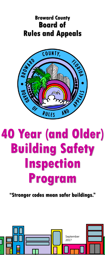## **Broward County Board of Rules and Appeals**



# **40 Year (and Older) Building Safety Inspection Program**

**"Stronger codes mean safer buildings."**

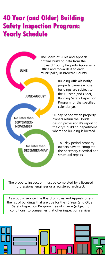## **40 Year (and Older) Building Safety Inspection Program: Yearly Schedule**



obtains building data from the Broward County Property Appraiser's Office and forwards it to each municipality in Broward County

> Building officials notify property owners whose buildings are subject to the 40 Year (and Older) Building Safety Inspection Program for the specified

90-day period when property owners return the Florida design professional's report to the city's building department where the building is located

> 180-day period property owners have to complete the necessary electrical and structural repairs

The property inspection must be completed by a licensed professional engineer or a registered architect.

As a public service, the Board of Rules and Appeals offers the list of buildings that are due for the 40 Year (and Older) Safety Inspection Program, free of charge (subject to conditions) to companies that offer inspection services.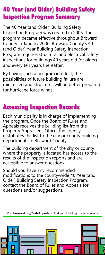### **40 Year (and Older) Building Safety Inspection Program Summary**

The 40 Year (and Older) Building Safety Inspection Program was created in 2005. The program became effective throughout Broward County in January 2006. Broward County's 40 (and Older) Year Building Safety Inspection Program requires structural and electrical safety inspections for buildings 40 years old (or older) and every ten years thereafter.

By having such a program in effect, the possibilities of future building failure are minimized and structures will be better prepared for hurricane force winds.

## **Accessing Inspection Records**

Each municipality is in charge of implementing the program. Once the Board of Rules and Appeals receives the building list from the Property Appraiser's Office, the agency distributes the list to the city or county building departments in Broward County.

The building department of the city or county where the property is located has access to the results of the inspection reports and are accessible to answer questions.

Should you have any recommended modifications to the county-wide 40 Year (and Older) Building Safety Inspection Program, contact the Board of Rules and Appeals for questions and/or suggestions.

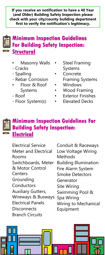**If you receive an notification to have a 40 Year (and Older) Building Safety Inspection please check with your city/county building department first to verify the notification's legitimacy.**

#### **Minimum Inspection Guidelines For Building Safety Inspection: Structural**

- **Masonry Walls**
- Cracks
- Spalling
- Rebar Corrosion
- Floor & Roof Systems
- Roof
- Floor System(s)
- **Steel Framing** Systems
- Concrete Framing Systems
- **Windows**
- Wood Framing
- **Exterior Finishes**
- Elevated Decks

#### **Minimum Inspection Guidelines For Building Safety Inspection: Electrical**

Electrical Service Meter and Electrical Rooms Switchboards, Meter & Motor Control **Centers** Grounding **Conductors** Auxiliary Gutters, Wireways & Busways Electrical Panels **Disconnects** Branch Circuits

Conduit & Raceways Low Voltage Wiring **Methods** Building Illumination Fire Alarm System Smoke Detectors Generator Site Wiring Swimming Pool & Spa Wiring Wiring to Mechanical Equipment

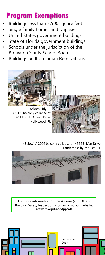## **Program Exemptions**

- Buildings less than 3,500 square feet
- Single family homes and duplexes
- United States government buildings
- State of Florida government buildings
- Schools under the jurisdiction of the Broward County School Board
- Buildings built on Indian Reservations



(Above, Right) A 1996 balcony collapse at 4111 South Ocean Drive Hollywood, FL



(Below) A 2006 balcony collapse at 4564 El Mar Drive Lauderdale-by-the-Sea, FL



For more information on the 40 Year (and Older) Building Safety Inspection Program visit our website: **broward.org/CodeAppeals**